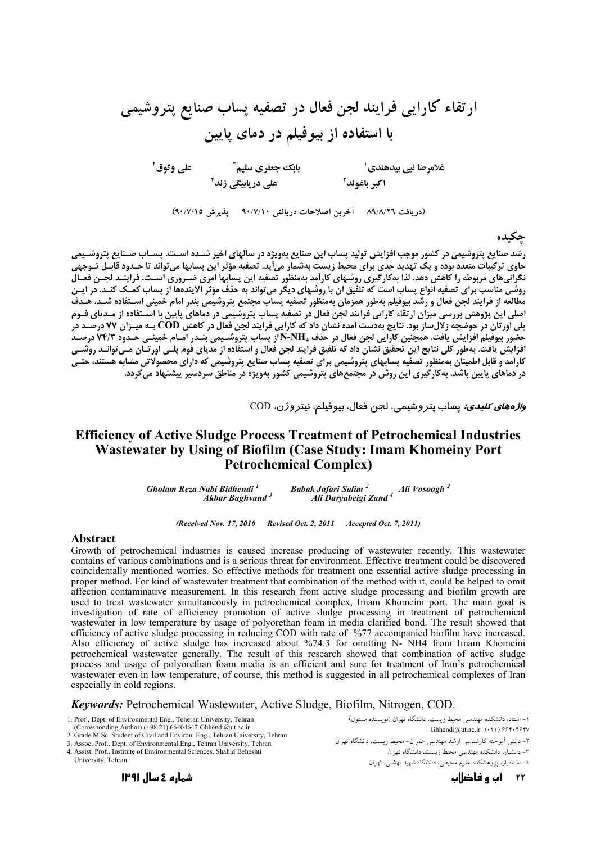(دریافت ۸۹/۸/۲٦ - آخرین اصلاحات دریافتی ۹۰/۷/۱۰ - پذیرش ۹۰/۷/۱۵)

## حكىدە

رشد صنایع پتروشیمی در کشور موجب افزایش تولید پساب این صنایع بهویژه در سالهای اخیر شـده اسـت. پسـاب صـنایع پتروشـیمی .<br>حاوی ترکیبات متعدد بوده و یک تهدید جدی برای محیط زیست بهشمار میآید. تصفیه مؤثر این پسابها می تواند تا حـدود قابـل تـوجهی نگرانیهای مربوطه را کاهش دهد. لذا بهکارگیری روشهای کارآمد بهمنظور تصفیه این پسابها امری ضـروری اسـت. فراینـد لجـن فعـال روشي مناسب براي تصفيه انواع پساب است كه تلفيق آن با روشهاي ديگر مي تواند به حذف مؤثر آلايندهها از پساب كمـك كنـد. در ايـن مُطالعه از فرایند لجن فعال و رشد بیوفیلم بهطور همزمان به منظور تصفیه پُساب مجتمع پتروشیمی بندر امام خمینی استفاده شــد. هـدف<br>اصلی این پژوهش بررسی میزان ارتقاء کارایی فرایند لجن فعال در تصفیه پساب پتروشیمی در دماهای پایین یلی اورتان در حوضچه زلال ساز بود. نتایج بهدست آمده نشان داد که کار ایی فرایند لجن فعال در کاهش COD بـه میـزان ۷۷ درصـد در<br>پلی اورتان در حوضچه زلال ساز بود. نتایج بهدست آمده نشان داد که کار ایی فرایند لجن فعال در کاهش COD كاراَمد و قابل اطمينان بهمنظور تصفيه پسابهای پتروشيمی برای تصفيه پساب صنايع پتروشيمی كه دارای محصولاتی مشابه هستند، حتـی در دماهای پایین باشد. به کارگیری این روش در مجتمعهای پتروشیمی کشور بهویژه در مناطق سردسیر پیشنهاد می گردد.

و*اژههای کلیدی:* پساب پتر وشیمی، لجن فعال، بیوفیلم، نیتر وژن، COD

## **Efficiency of Active Sludge Process Treatment of Petrochemical Industries** Wastewater by Using of Biofilm (Case Study: Imam Khomeiny Port **Petrochemical Complex)**

.  $\sim$ ...yuri Salim  $^2$  Ali Vosoogh  $^2$  Ali Daryabeigi Zand  $^4$ Gholam Reza Nabi Bidhendi<sup>1</sup> Babak Jafari Salim<sup>2</sup> **Akbar Baghvand**<sup>3</sup>

(Received Nov. 17, 2010 Revised Oct. 2, 2011 Accepted Oct. 7, 2011)

#### **Abstract**

Growth of petrochemical industries is caused increase producing of wastewater recently. This wastewater contains of various combinations and is a serious threat for environment. Effective treatment could be discovered coincidentally mentioned worries. So effective methods for treatment one essential active sludge processing in proper method. For kind of wastewater treatment that combination of the method with it, could be helped to omit affection contaminative measurement. In this research from active sludge processing and biofilm growth are used to treat wastewater simultaneously in petrochemical complex, Imam Khomeini port. The main goal is investigation of rate of efficiency promotion of active sludge processing in treatment of petrochemical wastewater in low temperature by usage of polyorethan foam in media clarified bond. The result showed that efficiency of active sludge processing in reducing COD with rate of %77 accompanied biofilm have increased. Also efficiency of active sludge has increased about %74.3 for omitting N- NH4 from Imam Khomeini petrochemical wastewater generally. The result of this research showed that combination of active sludge process and usage of polyorethan foam media is an efficient and sure for treatment of Iran's petrochemical wastewater even in low temperature, of course, this method is suggested in all petrochemical complexes of Iran especially in cold regions.

### Keywords: Petrochemical Wastewater, Active Sludge, Biofilm, Nitrogen, COD.

1. Prof., Dept. of Environmental Eng., Teheran University, Tehran (Corresponding Author) (+98 21) 66404647 Ghhendi@ut.ac.ir 2. Grade M.Sc. Student of Civil and Environ. Eng., Tehran University, Tehran

3. Assoc. Prof., Dept. of Environmental Eng., Tehran University, Tehran

4 Assist Prof. Institute of Environmental Sciences, Shahid Beheshti

University. Tehran

.<br>۱– استاد، دانشکده مهندسی محیط زیست، دانشگاه تهران (نویسنده مسئول) Ghhendi@ut.ac.ir  $(11)$  ۶۶۴۰۴۶۴۷ ۲– دانش آموخته کارشناسی ارشد مهندسی عمران- محیط زیست، دانشگاه تهران ۳– دانشیار، دانشکده مهندسی محیط زیست، دانشگاه تهران ۔<br>٤– استادیار، پڑوہشکدہ علوم محیطے ٖ، دانشگاہ شھید ںھشتے ، تھ ان

شمارہ 2 سال ۱۳۹۱

۲۲ آپ و فاضااپ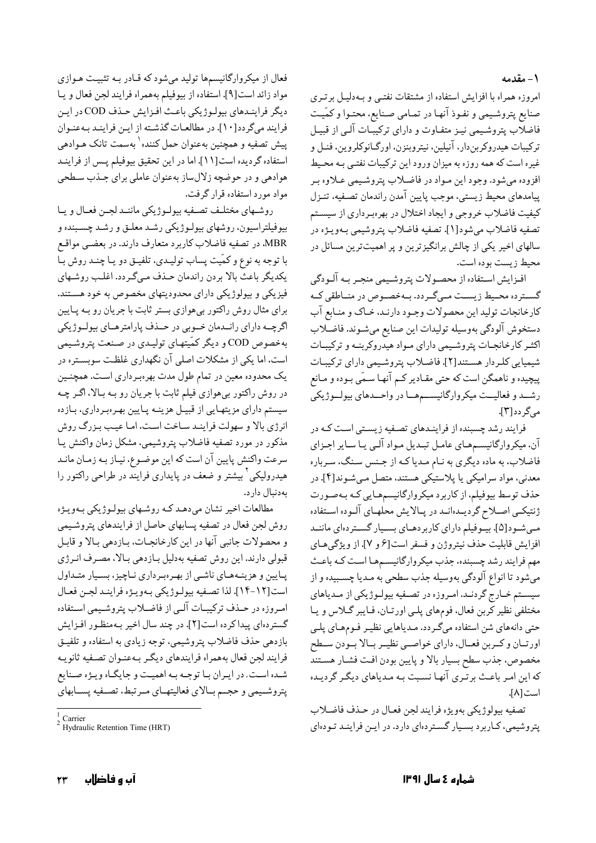۱ – مقدمه

امروزه همراه با افزایش استفاده از مشتقات نفتبی و بـهدلیـل برتـری صنایع پتروشیمی و نفـوذ آنهـا در تمـامی صـنایع، محتـوا و کمّیـت فاضلاب پتروشیمی نیـز متفـاوت و دارای ترکیبّـات آلـی از قبیـل ترکيبات هيدروکربندار، آنيلين، نيتروبنزن، اورگـانوکلروين، فنـل و غیره است که همه روزه به میزان ورود این ترکیبات نفتـی بـه محـیط افزوده مي شود. وجود اين مـواد در فاضـلاب يتروشـيمي عـلاوه بـر پیامدهای محیط زیستی، موجب پایین آمدن راندمان تصفیه، تنـزل كيفيت فاضلاب خروجي و ايجاد اختلال در بهرهبرداري از سيستم تصفيه فاضلاب ميشود[١]. تصفيه فاضلاب پتروشيمي بـهويـژه در سالهای اخیر یکی از چالش برانگیزترین و پر اهمیتترین مسائل در محيط زيست بوده است.

افـزايش اسـتفاده از محصـولات يتروشـيمي منجـر بـه آلـودگي گسترده محیط زیست مبی گردد. بهخصوص در مناطقی ک كارخانجات توليد اين محصولات وجـود دارنـد، خـاك و منـابع آب دستخوش آلودگي بهوسيله توليدات اين صنايع ميشـوند. فاضـلاب اکثـر کارخانجـات پتروشـيمي داراي مـواد هيدروکربنـه و ترکيبـات شیمیایی کلردار هستند[۲]. فاضلاب پتروشیمی دارای ترکیبات پیچیده و ناهمگن است که حتی مقـادیر کـم آنهـا سـمّی بـوده و مـانع رشــد و فعالیــت میکروارگانیســمهــا در واحــدهای بیولــوژیکی مے گے دد[۳].

فرایند رشد چسبنده از فراینـدهای تصـفیه زیسـتی اسـت کـه در آن، میکروارگانیسمهای عامل تبدیل مواد آلبی یا سایر اجـزای .<br>فاضلاب، به ماده دیگری به نـام مـدیاکـه از جـنس سـنگ، سـرباره معدنی، مواد سرامیکی یا پلاستیکی هستند، متصل می شـوند[۴]. در حذف توسط بیوفیلم، از کاربرد میکروارگانیسمهایی کـه بـهصـورت ژنتیکـی اصـلاح گردیـدهانـد در پـالایش محلهـای آلـوده اسـتفاده میشود[۵]. بیـوفیلم دارای کاربردهـای بسـیار گسـتردهای ماننـد افزايش قابليت حذف نيتروژن و فسفر است[۶ و ۷]. از ويژگىهـاى مهم فرایند رشد چسبنده، جذب میکروارگانیسمها است کـه باعـث میشود تا انواع آلودگی بهوسیله جذب سطحی به مـدیا چسـبیده و از سیستم خـارج گردنـد. امـروزه در تصـفیه بیولـوژیکي از مـدیاهاي مختلفی نظیر کربن فعال. فومهای پلـی اورتـان. فـایبر گــلاس و یـا حتی دانههای شن استفاده میگردد. مـدیاهایی نظیـر فـومهـای پلـی اورتــان و كــربن فعــال، داراي خواصــي نظيــر بــالا بــودن ســطح مخصوص، جذب سطح بسيار بالا و پايين بودن افت فشـار هسـتند که این امـر باعـث برتـري آنهـا نسـبت بـه مـدیاهاي دیگـر گردیـده است[۸].

تصفيه بيولوژيكي بهويژه فرايند لجن فعـال در حـذف فاضـلاب يتروشيمي، كباربرد بسيار گستردهاي دارد. در اين فرايند تودهاي

فعال از میکروارگانیسمها تولید میشود که قـادر بـه تثبیـت هـوازی مواد زائد است[۹]. استفاده از بيوفيلم بههمراه فرايند لجن فعال ويا ديگر فرايندهاي بيولوژيكي باعث افزايش حذف COD در اين فرايند مي گردد[١٠]. در مطالعات گذشته از اين فرايند به عنوان پیش تصفیه و همچنین بهعنوان حمل کننده<sup>۱</sup> بهسمت تانک هـوادهی استفاده گردیده است[۱۱]. اما در این تحقیق بیوفیلم پس از فراینـد هوادهی و در حوضچه زلالساز بهعنوان عاملی برای جـذب سـطحی مواد مورد استفاده قرار گرفت.

روشهاي مختلف تصفيه بيولوژيكي مانند لجئ فعال ويا بیوفیلتراسیون، روشهای بیولـوژیکی رشـد معلـق و رشـد چسـبنده و MBR، در تصفیه فاضلاب کاربرد متعارف دارند. در بعضـي مواقـع با توجه به نوع و کمّیت پساب تولیـدي، تلفیـق دو یـا چنـد روش بـا يكديگر باعث بالا بردن راندمان حذف مىگردد. اغلب روشهاى فیزیکی و بیولوژیکی دارای محدودیتهای مخصوص به خود هستند. برای مثال روش راکتور بیهوازی بستر ثابت با جریان رو بـه پـایین اگرچــه داراي رانــدمان خــوبي در حــذف پارامترهــاي بيولــوژيكي بهخصوص COD و دیگر کمّیتهای تولیدی در صنعت پتروشیمی است، اما یکی از مشکلات اصلی آن نگهداری غلظت سوبسـتره در یک محدوده معین در تمام طول مدت بهرهبرداری است. همچنـین در روش راکتور بیهوازی فیلم ثابت با جریان رو بـه بـالا، اگـر چـه سیستم دارای مزیتهایی از قبیـل هزینـه پـایین بهـرهبرداری، بـازده انرژی بالا و سهولت فراینـد سـاخت اسـت، امـا عيـب بـزرگ روش مذکور در مورد تصفیه فاضلاب پتروشیمی، مشکل زمان واکنش یـا سرعت واكنش پايين آن است كه اين موضـوع، نيـاز بـه زمـان مانـد هیدرولیکی<sup>۲</sup> بیشتر و ضعف در پایداری فرایند در طراحی راکتور را بهدنبال دارد.

مطالعات اخیر نشان میدهد که روشهای بیولوژیکی بهویژه روش لجن فعال در تصفيه پسابهاي حاصل از فرايندهاي پتروشيمي و محصولات جانبي آنها در اين كارخانجـات، بـازدهي بـالا و قابـل قبولی دارند. این روش تصفیه بهدلیل بـازدهی بـالا، مصـرف انـرژي پایین و هزینههای ناشبی از بهرهبرداری ناچیز، بسیار متـداول است [١٢-١٤]. لذا تصفيه بيولوژيكي بهويـژه فراينـد لجـن فعـال امروزه در حـذف تركيبـات آلـي از فاضـلاب پتروشـيمي اسـتفاده گستردهای پیدا کرده است[۲]. در چند سال اخیر بهمنظور افزایش بازدهي حذف فاضلاب يتروشيمي، توجه زيادي به استفاده و تلفيـق فرايند لجن فعال بههمراه فرايندهاي ديگر بـهعنـوان تصـفيه ثانويـه شده است. در ايران با توجه به اهميت و جايگاه ويژه صنايع پتروشمیمی و حجم بالای فعالیتهای مرتبط، تصفیه پسابهای

Carrier

Hydraulic Retention Time (HRT)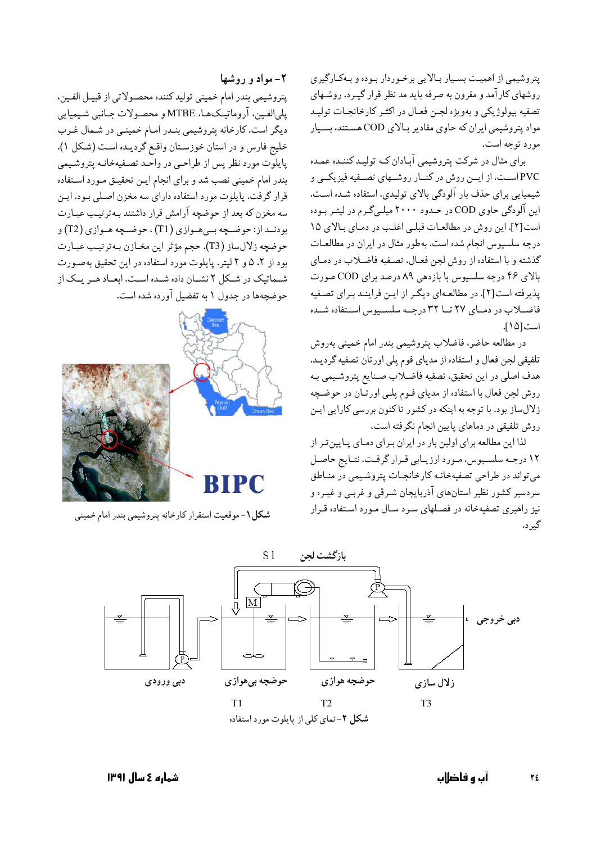پتروشیمی از اهمیت بسیار بالایی برخوردار بوده و بهکارگیری روشهای کار آمد و مقرون به صرفه باید مد نظر قرار گیـرد. روشـهای تصفيه بيولوژيكي و بهويژه لجـن فعـال در اكثـر كارخانجـات توليـد مواد پتروشیمی ایران که حاوی مقادیر بـالای COD هسـتند، بسـیار مورد توجه است.

برای مثال در شرکت پتروشیمی آبادان کـه تولیـد کننـده عمـده PVC است، از ایــن روش در کنــار روشــهای تصــفیه فیزیکــی و شیمیایی برای حذف بار آلودگی بالای تولیدی، استفاده شده است. این آلودگی حاوی COD در حـدود ۲۰۰۰ میلـیگـرم در لیتـر بـوده است [٢]. این روش در مطالعات قبلی اغلب در دمای بالای ١٥ درجه سلسیوس انجام شده است. بهطور مثال در ایران در مطالعات گذشته و با استفاده از روش لجن فعـال، تصـفيه فاضـلاب در دمـاي بالای ۴۶ درجه سلسیوس با بازدهی ۸۹ درصد برای COD صورت پذیرفته است[۲]. در مطالعهای دیگر از این فرایند برای تصفیه فاضلاب در دمای ٢٧ تا ٣٢ درجـه سلسـيوس اسـتفاده شـده است[١٥].

در مطالعه حاضر، فاضلاب پتروشیمی بندر امام خمینی بهروش تلفیقی لجن فعال و استفاده از مدیای فوم پلی اورتان تصفیه گردیـد. هدف اصلي در اين تحقيق، تصفيه فاضلاب صنايع پتروشيمي بـه روش لجن فعال با استفاده از مدیای فـوم پلـی اورتـان در حوضـچه زلال ساز بود. با توجه به اینکه در کشور تاکنون بررسی کارایی ایـن روش تلفیقی در دماهای پایین انجام نگرفته است،

لذا این مطالعه برای اولین بار در ایران بـرای دمـای پـایینتـر از ۱۲ درجـه سلسـیوس، مـورد ارزیـابی قـرار گرفـت. نتـایج حاصـل می تواند در طراحی تصفیهخانـه کارخانجـات پتروشـیمی در منـاطق سردسیر کشور نظیر استانهای آذربایجان شـرقی و غربـی و غیـره و نیز راهبری تصفیهخانه در فصـلهای سـرد سـال مـورد اسـتفاده قـرار گىر د.

٢- مواد و روشها يتروشيمي بندر امام خميني توليد كننده محصولاتي از قبيـل الفـين، پليالفين، آروماتيـكـهـا، MTBE و محصـولات جـانبي شـيميايي دیگر است. کارخانه پتروشیمی بنـدر امـام خمینـی در شـمال غـرب خليج فارس و در استان خوزستان واقع گرديـده اسـت (شكل ١). پایلوت مورد نظر پس از طراحبی در واحـد تصـفیهخانـه پتروشـیمی بندر امام خمینی نصب شد و برای انجام ایـن تحقیـق مـورد اسـتفاده قرار گرفت. پایلوت مورد استفاده دارای سه مخزن اصـلی بـود. ایـن سه مخزن که بعد از حوضچه آرامش قرار داشتند بـهترتيـب عبـارت بودنـد از: حوضـچه بـيهـوازي (T1) ، حوضـچه هـوازي (T2) و حوضچه زلالساز (T3). حجم مؤثر اين مخـازن بـهترتيـب عبـارت بود از ۲، ۵ و ۲ لیتر. پایلوت مورد استفاده در این تحقیق بهصورت شـماتیک در شـكل ٢ نشـان داده شـده اسـت. ابعـاد هـر يـك از حوضچهها در جدول ۱ به تفضیل آورده شده است.



شکل ۱- موقعیت استقرار کارخانه پتروشیمی بندر امام خمینی

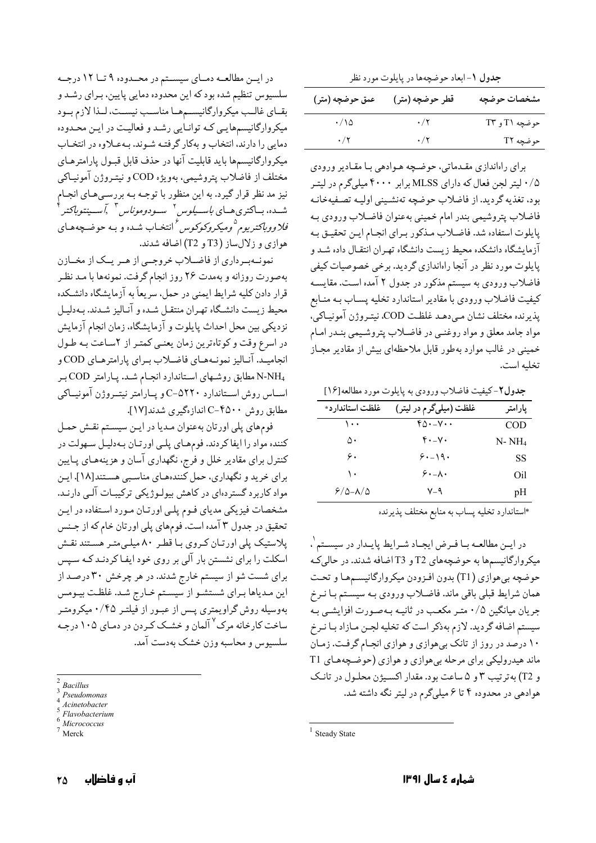جدول ١- ابعاد حوضچهها در پايلوت مورد نظر

| عمق حوضچه (متر)          | قطر حوضچه (متر) | مشخصات حوضچه  |
|--------------------------|-----------------|---------------|
| $\cdot/\backslash\Delta$ | $\cdot/7$       | حوضچه T۱ و T۳ |
| $\cdot/$ $\cdot$         | $\cdot/7$       | حوضچه T۲      |

برای راهاندازی مقـدماتی، حوضـچه هـوادهی بـا مقـادیر ورودی ۰/۵ لیتر لجن فعال که دارای MLSS برابر ۴۰۰۰ میلی گرم در لیتـر بود، تغذيه گرديد. از فاضلاب حوضچه تهنشيني اوليـه تصـفيهخانـه فاضلاب پتروشيمي بندر امام خميني بهعنوان فاضلاب ورودي بـه يايلوت استفاده شد. فاضلاب مـذكور بـراي انجـام ايـن تحقيـق بـه آزمایشگاه دانشکده محیط زیست دانشگاه تهـران انتقـال داده شـد و پایلوت مورد نظر در آنجا راهاندازی گردید. برخی خصوصیات کیفی فاضلاب ورودي به سيستم مذكور در جدول ٢ آمده است. مقايسـه کیفیت فاضلاب ورودی با مقادیر استاندارد تخلیه پسـاب بـه منـابع يذيرنده مختلف نشان مي دهـد غلظـت COD. نيتـروژن آمونيـاكي، مواد جامد معلق و مواد روغنـي در فاضـلاب پتروشـيمي بنـدر امـام خمینی در غالب موارد بهطور قابل ملاحظهای بیش از مقادیر مجـاز تخليه است.

جدول٢-كيفيت فاضلاب ورودي به پايلوت مورد مطالعه[١۶]

| غلظت استاندار د* | غلظت (میلیگرم در لیتر)     | يارامتر |
|------------------|----------------------------|---------|
| ۱۰۰              | $f_0 \cdot -V \cdot \cdot$ | COD     |
| ۵۰               | $f \cdot -V \cdot$         | N- NH4  |
| ۶.               | $5. - 19.$                 | SS      |
| ۱۰               | $5. - \lambda$             | Oil     |
| ۶/۵-۸/۵          | ۷–۹                        | pH      |

\*استاندارد تخليه يساب به منابع مختلف يذيرنده

در ايـن مطالعــه بــا فــرض ايجــاد شــرايط پايــدار در سيســتم`، میکروارگانیسمها به حوضچههای T2 و T3 اضافه شدند. در حالی که حوضچه بی هوازی (T1) بدون افـزودن میکروارگانیسـمهـا و تحـت همان شرايط قبلي باقي ماند. فاضلاب ورودي بـه سيسـتم بـا نـرخ جریان میانگین ۰/۵ متـر مکعـب در ثانیـه بـهصـورت افزایشـی بـه سیستم اضافه گردید. لازم بهذکر است که تخلیه لجـن مـازاد بـا نـرخ ۱۰ درصد در روز از تانک بی هوازی و هوازی انجـام گرفـت. زمـان ماند هیدرولیکی برای مرحله بیهوازی و هوازی (حوضیچههای T1 و T2) به ترتیب ۳ و ۵ ساعت بود. مقدار اکسیژن محلول در تانک هوادهی در محدوده ۴ تا ۶ میلیگرم در لیتر نگه داشته شد.

در ایسن مطالعـه دمـای سیسـتم در محـدوده ۹ تـا ۱۲ درجـه سلسیوس تنظیم شده بود که این محدوده دمایی پایین، بـرای رشـد و بقـاي غالـب ميكرواركانيسـمهـا مناسـب نيسـت، لـذا لازم بـود میکروارگانیسمهایی که توانایی رشد و فعالیت در این محدوده دمایی را دارند، انتخاب و بهكار گرفتـه شـوند. بـهعـلاوه در انتخـاب میکروارگانیسمها باید قابلیت آنها در حذف قابل قبـول پارامترهـای مختلف از فاضلاب پتروشیمی، بهویژه COD و نیتـروژن آمونیـاکی نیز مد نظر قرار گیرد. به این منظور با توجـه بـه بررسـیهـای انجـام شــده، بــاکتری،هــای *باســیلوس <sup>۲</sup> ســودوموناس ۳ ,آســینتوباکتر فلاووباکتریوم <sup>۵</sup>ومیکروکوکوس <sup>۶</sup> انتخ*اب شده و بـه حوضـچههـای هوازي و زلالساز (T3 و T2) اضافه شدند.

نمونهبرداري از فاضلاب خروجيي از هـر يـك از مخـازن بهصورت روزانه و بهمدت ٢۶ روز انجام گرفت. نمونهها با مـد نظـر قرار دادن كليه شرايط ايمني در حمل. سريعاً به آزمايشگاه دانشكده محیط زیست دانشگاه تهران منتقل شده و آنـالیز شـدند. بـهدلیـل نزديكي بين محل احداث پايلوت و آزمايشگاه، زمان انجام آزمايش در اسرع وقت و کوتاهترین زمان یعنمی کمتـر از ۲سـاعت بـه طـول انجامیـد. آنـالیز نمونـههـای فاضـلاب بـرای پارامترهـای COD و N-NH4 مطابق روشهای استاندارد انجام شد. پارامتر COD بر اسـاس روش اسـتاندارد ۵۲۲۰-C و پـارامتر نيتـروژن آمونيــاكي مطابق روش ٢٥٠٠-C اندازهگيري شدند[١٧].

فومهاي پلي اورتان بهعنوان مديا در اين سيستم نقش حمل کننده مواد را ایفا کردند. فومهای پلی اورتان بهدلیل سهولت در کنترل برای مقادیر خلل و فرج، نگهداری آسان و هزینههـای پـایین برای خرید و نگهداری، حمل کنندههای مناسبی هستند[۱۸]. ایـن مواد کاربرد گستردهای در کاهش بیولـوژیکی ترکیبـات آلـی دارنـد. مشخصات فیزیکی مدیای فـوم پلـی اورتـان مـورد اسـتفاده در ایـن تحقیق در جدول ۳ آمده است. فومهای پلی اورتان خام که از جـنس پلاستیک پلی اورتان کروی با قطر ۸۰ میلی متر هستند نقش اسکلت را برای نشستن بار آلی بر روی خود ایفا کردنـد کـه سـیس برای شست شو از سیستم خارج شدند. در هر چرخش ۳۰ درصـد از این مدیاها برای شستشو از سیستم خارج شد. غلظت بیومس بهوسیله روش گراویمتری پس از عبور از فیلتـر ۰/۴۵ میکرومتـر ساخت کارخانه مرک<sup>۷</sup> آلمان و خشـک کـردن در دمـای ۱۰۵ درجـه سلسیوس و محاسبه وزن خشک بهدست آمد.

- **Racillus**
- Pseudomonas
- Acinetobacter

<sup>&</sup>lt;sup>1</sup> Steady State

Flavobacterium

Micrococcus

Merck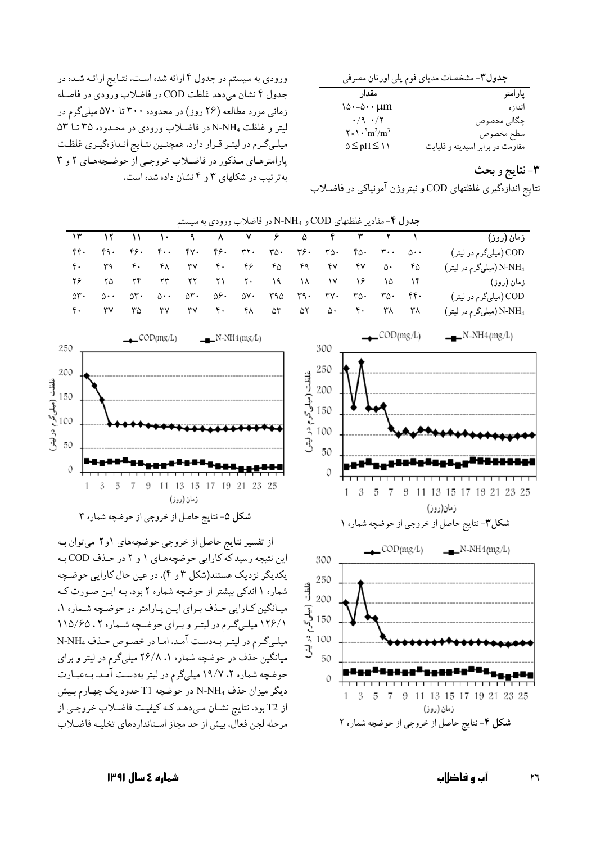جدول٣- مشخصات مدياي فوم يلي اورتان مصرفي

| مقدار                                                          | پارامتر                          |
|----------------------------------------------------------------|----------------------------------|
| $\lambda_0 \cdot -\Delta \cdots \mu_m$                         | انداز ہ                          |
| $\cdot$ /9 - $\cdot$ / $\cdot$                                 | چگالي مخصوص                      |
| $\mathbf{Y} \times \mathbf{V} \cdot \mathrm{m}^2/\mathrm{m}^3$ | سطح مخصوص                        |
| $\Delta \leq pH \leq \Delta$                                   | مقاومت در برابر اسیدیته و قلیایت |

## ۳- نتايج و بحث

نتايج اندازهگيري غلظتهاي COD و نيتروژن آمونياكي در فاضلاب

ورودي به سيستم در جدول ۴ ارائه شده است. نتـايج ارائـه شـده در جدول ۴ نشان می دهد غلظت COD در فاضلاب ورودی در فاصله زمانی مورد مطالعه (۲۶ روز) در محدوده ۳۰۰ تا ۵۷۰ میلیگرم در ليتر و غلظت N-NH4 در فاضلاب ورودي در محدوده ۳۵ تــا ۵۳ میلـیگـرم در لیتـر قـرار دارد. همچنـین نتـایج انـدازهگیـری غلظـت یارامترهای مذکور در فاضلاب خروجی از حوضچههای ۲ و ۳ به تر تیب در شکلهای ۳ و ۴ نشان داده شده است.

جدول ۴- مقادیر غلظتهای COD و N-NH در فاضلاب ورودی به س

| $\mathcal{N}$ $\mathcal{N}$ $\mathcal{N}$ $\mathcal{N}$ |                      |                  |    |    |  |                   |                         |                  |         |    | زمان (روز)                          |
|---------------------------------------------------------|----------------------|------------------|----|----|--|-------------------|-------------------------|------------------|---------|----|-------------------------------------|
|                                                         |                      |                  |    |    |  |                   |                         |                  |         |    | COD (میل <sub>ی</sub> گرم در لیتر)  |
| $\mathfrak{e}$ .                                        | <b>MA</b>            | $\mathfrak{r}$ . |    |    |  |                   | 61 TV 6. 65 FB 69 FV FV |                  | ∆∙      | ۴۵ | N-NH <sub>4</sub> (میلیگرم در لیتر) |
| 7 <i>6</i> 70                                           |                      | $YY$ $YY$        |    |    |  | YY YI Y• I9 IA IV |                         | $\sqrt{2}$       | - 10    |    | زمان (روز)                          |
| $\Delta$ ۳۰                                             | $\Delta \cdot \cdot$ | ∆۳۰              |    |    |  |                   |                         | ۳۵۰              | ۳۵۰ ۴۴۰ |    | COD (میل <sub>ی</sub> گرم در لیتر)  |
| ۴۰.                                                     | ٣V                   | ۳۵               | ٣Y | ٣٧ |  | f. FX ar ar a.    |                         | $\mathfrak{e}$ . | ۳۸      | ۳۸ | (میلیگرم در لیتر) N-NH <sub>4</sub> |





از تفسیر نتایج حاصل از خروجی حوضچههای ۱و۲ میتوان به این نتیجه رسید که کارایی حوضچههای ۱ و ۲ در حـذف COD بـه یکدیگر نزدیک هستند(شکل ۳ و ۴). در عین حال کارایی حوضیچه شماره ۱ اندکی بیشتر از حوضچه شماره ۲ بود. بـه ایـن صـورت کـه میـانگین کـارایی حـذف بـرای ایـن پـارامتر در حوضـچه شـماره ۱، ١٢۶/١ ميلي گرم در ليتر و براي حوضچه شماره ٢ ، ١١٥/۶۵ میلم گرم در لیتر به دست آمد. اما در خصوص حذف N-NH4 میانگین حذف در حوضچه شماره ۱، ۲۶/۸ میلیگرم در لیتر و برای حوضچه شماره ۲، ۱۹/۷ میلی گرم در لیتر بهدست آمد. به عبارت دیگر میزان حذف N-NH4 در حوضچه T1 حدود یک چهارم بـیش از T2 بود. نتايج نشـان مـى دهـد كـه كيفيـت فاضـلاب خروجـى از مرحله لجن فعال، بيش از حد مجاز استانداردهاي تخليـه فاضـلاب

زمان (روز)

شکل ۴-نتایج حاصل از خروجی از حوضچه شماره ۲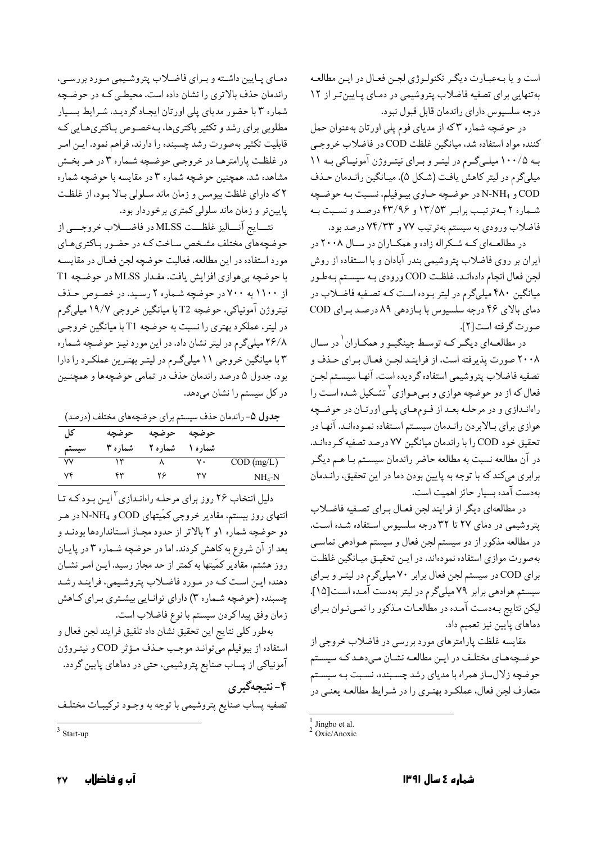است و يا بـهعبـارت ديگـر تكنولـوژي لجـن فعـال در ايـن مطالعـه به تنهایی برای تصفیه فاضلاب پتروشیمی در دمای پایین تر از ١٢ درجه سلسيوس داراي راندمان قابل قبول نبود.

در حوضچه شماره ٣که از مدياى فوم پلي اورتان بهعنوان حمل كننده مواد استفاده شد، ميانگين غلظت COD در فاضلاب خروجي به ۱۰۰/۵ میلهگرم در لیتر و برای نیتروژن آمونیاکی به ۱۱ میلیگرم در لیتر کاهش یافت (شکل ۵). میـانگین رانـدمان حـذف COD و N-NH<sub>4</sub> در حوضچه حـاوي بيـوفيلم، نسـبت بـه حوضـچه شماره ٢ به ترتيب برابر ١٣/٥٣ و ٣٣/٩۶ درصد و نسبت به فاضلاب ورودي به سيستم بهترتيب ٧٧ و ٧٣/٣٣ درصد بود.

در مطالعـهاي كــه شــكراله زاده و همكــاران در ســال ٢٠٠٨ در ایران بر روی فاضلاب پتروشیمی بندر آبادان و با استفاده از روش لجن فعال انجام دادهانـد، غلظـت COD ورودي بـه سيسـتم بـهطـور میانگین ۴۸۰ میلیگرم در لیتر بـوده اسـت کـه تصـفیه فاضـلاب در دمای بالای ۴۶ درجه سلسیوس با بازدهی ۸۹ درصد برای COD صورت گرفته است [۲].

در مطالعهای دیگر کـه توسـط جینگبـو و همکـاران در سـال ۲۰۰۸ صورت پذیرفته است، از فراینـد لجـن فعـال بـراي حـذف و تصفيه فاضلاب پتروشيمي استفاده گرديده است. آنها سيسـتم لجـن فعال که از دو حوضچه هوازی و بـیهـوازی<sup>۲</sup> تشـکیل شـده اسـت را راهاندازي و در مرحلـه بعـد از فـومهـاي پلـي اورتـان در حوضـچه هوازي براي بـالابردن رانـدمان سيسـتم اسـتفاده نمـودهانـد. آنهـا در تحقیق خود COD را با راندمان میانگین ۷۷ درصد تصفیه کردهانـد. در آن مطالعه نسبت به مطالعه حاضر راندمان سیسـتم بـا هـم دیگـر برابري مي كند كه با توجه به پايين بودن دما در اين تحقيق، رانـدمان بهدست آمده بسيار حائز اهميت است.

در مطالعهاي ديگر از فرايند لجن فعـال بـراي تصـفيه فاضـلاب پتروشیمی در دمای ۲۷ تا ۳۲ درجه سلسیوس استفاده شده است. در مطالعه مذکور از دو سیستم لجن فعال و سیستم هـوادهی تماسـی بهصورت موازي استفاده نمودهاند. در ايـن تحقيـق ميـانگين غلظـت برای COD در سیستم لجن فعال برابر ۷۰ میلیگرم در لیتر و برای سیستم هوادهی برابر ۷۹ میلیگرم در لیتر بهدست آمده است[۱۵]. لیکن نتایج بـهدسـت آمـده در مطالعـات مـذکور را نمـیتوان بـرای دماهای پایین نیز تعمیم داد.

مقايسه غلظت يارامترهاي مورد بررسي در فاضلاب خروجي از حوضچههـاى مختلـف در ايـن مطالعـه نشـان مـىدهـد كـه سيسـتم حوضچه زلالساز همراه با مدیای رشد چسـبنده، نسـبت بـه سیسـتم متعارف لجن فعال، عملكرد بهتـري را در شـرايط مطالعـه يعنـي در

دمبای پبایین داشته و بیرای فاضلاب پتروشیمی مورد بررسبی، راندمان حذف بالاترى را نشان داده است. محيطى كـه در حوضچه شماره ۳ با حضور مدیای پلی اورتان ایجاد گردید، شرایط بسیار مطلوبی برای رشد و تکثیر باکتریها، بـهخصـوص بـاکتریهـایی کـه قابلیت تکثیر بهصورت رشد چسبنده را دارند، فراهم نمود. ایـن امـر در غلظت پارامترهـا در خروجـي حوضـچه شـماره ٣ در هـر بخـش مشاهده شد. همچنین حوضچه شماره ۳ در مقایسه با حوضچه شماره ۲ که دارای غلظت بیومس و زمان ماند سلولی بالا بود، از غلظت پایینتر و زمان ماند سلولی کمتری برخوردار بود.

نتسايج آنساليز غلظــت MLSS در فاضــــلاب خروجــــي از حوضچههای مختلف مشخص ساخت کـه در حضـور بـاکترىهـاى مورد استفاده در اين مطالعه، فعاليت حوضچه لجن فعـال در مقايسـه با حوضچه بی هوازی افزایش یافت. مقدار MLSS در حوضچه T1 از ۱۱۰۰ به ۷۰۰ در حوضچه شماره ۲ رسید. در خصوص حذف نيتروژن آمونياكي، حوضچه T2 با ميانگين خروجي ١٩/٧ ميليگرم در لیتر، عملکرد بهتری را نسبت به حوضچه T1 با میانگین خروجـی ۲۶/۸ میلیگرم در لیتر نشان داد. در این مورد نیـز حوضـچه شـماره ۴ با میانگین خروجی ۱۱ میلیگرم در لیتر بهترین عملکرد را دارا بود. جدول ۵ درصد راندمان حذف در تمامي حوضچهها و همچنـين در کل سیستم را نشان میدهد.

جدول ۵- راندمان حذف سیستم برای حوضچههای مختلف (درصد)

| کل    | حوضجه    | حوضچه    | حوضچه    |              |
|-------|----------|----------|----------|--------------|
| سيستم | شمار ه ۳ | شمار ه ۲ | شمار ه ۱ |              |
| ۷٧    |          |          | ٧.       | $COD$ (mg/L) |
| v۴    | ۴۳       | ۲۶       | ٣٧       | $NH_4-N$     |

دلیل انتخاب ۲۶ روز برای مرحلـه راهانـدازی <sup>۳</sup>ایــن بـود کـه تـا انتهای روز بیستم، مقادیر خروجی کمّیتهای COD و N-NH<sub>4</sub> در هـر دو حوضچه شماره ۱و ۲ بالاتر از حدود مجـاز اسـتانداردها بودنـد و بعد از آن شروع به کاهش کردند. اما در حوضچه شـماره ۳ در پايـان روز هشتم، مقادیر کمّیتها به کمتر از حد مجاز رسید. ایـن امـر نشـان دهنده اين است كـه در مـورد فاضـلاب پتروشـيمي، فراينـد رشـد چسبنده (حوضچه شـماره ۳) داراي توانـايي بيشـتري بـراي كـاهش زمان وفق پيداكردن سيستم با نوع فاضلاب است.

بهطور كلي نتايج اين تحقيق نشان داد تلفيق فرايند لجن فعال و استفاده از بیوفیلم میتوانـد موجـب حـذف مـؤثر COD و نیتـروژن آمونیاکی از پساب صنایع پتروشیمی، حتی در دماهای پایین گردد. ۴- نتيجهگيري تصفيه پساب صنايع پتروشيمي با توجه به وجـود تركيبـات مختلـف

 $\frac{1}{2}$  Jingbo et al.<br>  $\frac{1}{2}$  Oxic/Anoxic

 $3$  Start-up